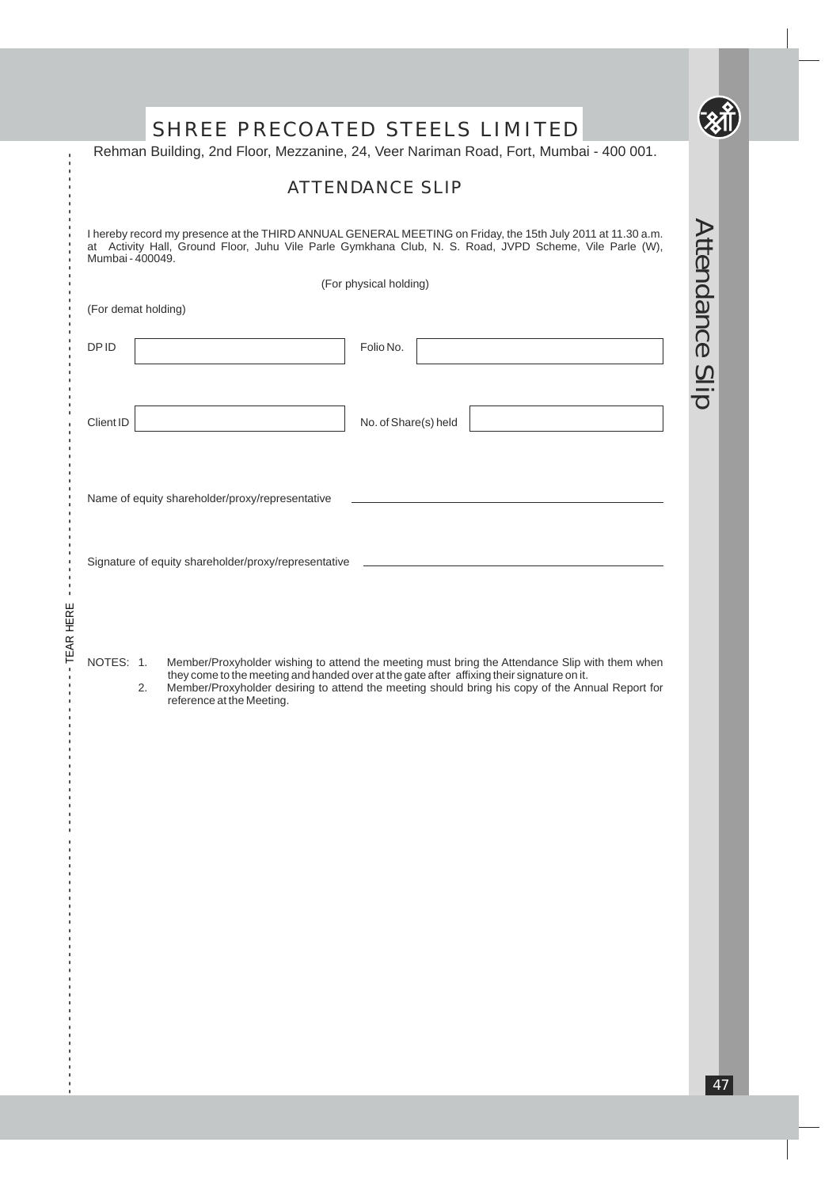|                     | <b>ATTENDANCE SLIP</b>                                                                                                                                                                                                                                                                                                        |                 |
|---------------------|-------------------------------------------------------------------------------------------------------------------------------------------------------------------------------------------------------------------------------------------------------------------------------------------------------------------------------|-----------------|
| Mumbai - 400049.    | I hereby record my presence at the THIRD ANNUAL GENERAL MEETING on Friday, the 15th July 2011 at 11.30 a.m.<br>at Activity Hall, Ground Floor, Juhu Vile Parle Gymkhana Club, N. S. Road, JVPD Scheme, Vile Parle (W),                                                                                                        |                 |
| (For demat holding) | (For physical holding)                                                                                                                                                                                                                                                                                                        |                 |
| <b>DPID</b>         | Folio No.                                                                                                                                                                                                                                                                                                                     | Attendance Slip |
| Client ID           | No. of Share(s) held                                                                                                                                                                                                                                                                                                          |                 |
|                     | Name of equity shareholder/proxy/representative                                                                                                                                                                                                                                                                               |                 |
|                     | Signature of equity shareholder/proxy/representative                                                                                                                                                                                                                                                                          |                 |
| NOTES: 1.<br>2.     | Member/Proxyholder wishing to attend the meeting must bring the Attendance Slip with them when<br>they come to the meeting and handed over at the gate after affixing their signature on it.<br>Member/Proxyholder desiring to attend the meeting should bring his copy of the Annual Report for<br>reference at the Meeting. |                 |
|                     |                                                                                                                                                                                                                                                                                                                               |                 |
|                     |                                                                                                                                                                                                                                                                                                                               |                 |
|                     |                                                                                                                                                                                                                                                                                                                               |                 |
|                     |                                                                                                                                                                                                                                                                                                                               |                 |